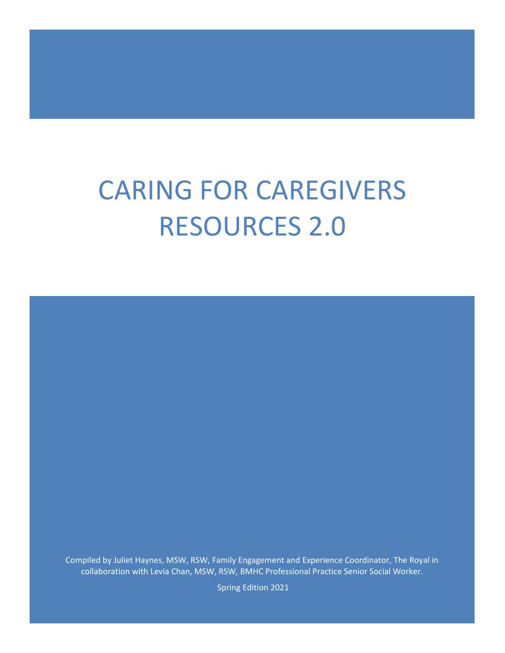# CARING FOR CAREGIVERS RESOURCES 2.0

Compiled by Juliet Haynes, MSW, RSW, Family Engagement and Experience Coordinator, The Royal in collaboration with Levia Chan, MSW, RSW, BMHC Professional Practice Senior Social Worker.

Spring Edition 2021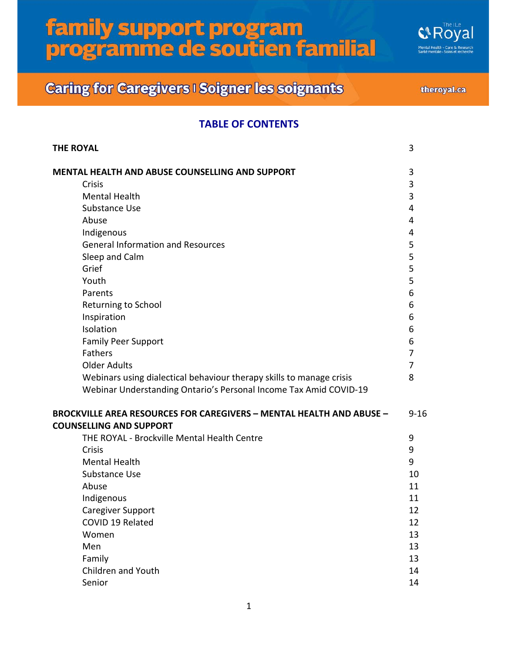**G&Royal Health - Care & Research<br>nentale - Soins et recherche** 

## **Caring for Caregivers I Soigner les soignants**

theroyal.ca

#### **TABLE OF CONTENTS**

| <b>THE ROYAL</b>                                                            | 3        |
|-----------------------------------------------------------------------------|----------|
| <b>MENTAL HEALTH AND ABUSE COUNSELLING AND SUPPORT</b>                      | 3        |
| Crisis                                                                      | 3        |
| <b>Mental Health</b>                                                        | 3        |
| Substance Use                                                               | 4        |
| Abuse                                                                       | 4        |
| Indigenous                                                                  | 4        |
| <b>General Information and Resources</b>                                    | 5        |
| Sleep and Calm                                                              | 5        |
| Grief                                                                       | 5        |
| Youth                                                                       | 5        |
| Parents                                                                     | 6        |
| Returning to School                                                         | 6        |
| Inspiration                                                                 | 6        |
| Isolation                                                                   | 6        |
| <b>Family Peer Support</b>                                                  | 6        |
| Fathers                                                                     | 7        |
| <b>Older Adults</b>                                                         | 7        |
| Webinars using dialectical behaviour therapy skills to manage crisis        | 8        |
| Webinar Understanding Ontario's Personal Income Tax Amid COVID-19           |          |
| <b>BROCKVILLE AREA RESOURCES FOR CAREGIVERS - MENTAL HEALTH AND ABUSE -</b> | $9 - 16$ |
| <b>COUNSELLING AND SUPPORT</b>                                              |          |
| THE ROYAL - Brockville Mental Health Centre                                 | 9        |
| <b>Crisis</b>                                                               | 9        |
| <b>Mental Health</b>                                                        | 9        |
| Substance Use                                                               | 10       |
| Abuse                                                                       | 11       |
| Indigenous                                                                  | 11       |
| <b>Caregiver Support</b>                                                    | 12       |
| COVID 19 Related                                                            | 12       |
| Women                                                                       | 13       |
| Men                                                                         | 13       |
| Family                                                                      | 13       |
| Children and Youth                                                          | 14       |
| Senior                                                                      | 14       |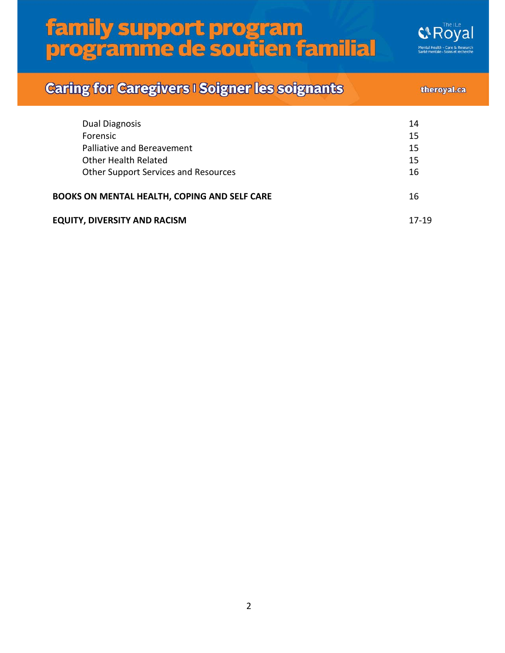**G&Royal Health - Care & Research<br>nentale - Soins et recherche** 

## **Caring for Caregivers I Soigner les soignants**

#### theroyal.ca

| 14    |
|-------|
| 15    |
| 15    |
| 15    |
| 16    |
| 16    |
| 17-19 |
|       |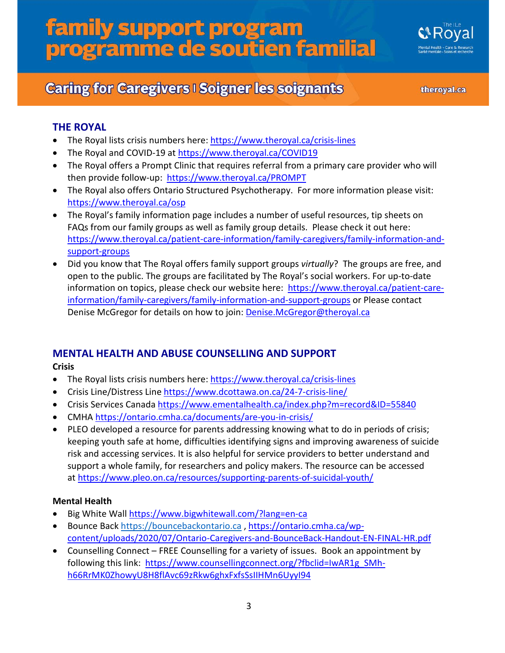

theroyal.ca

#### **THE ROYAL**

- The Royal lists crisis numbers here:<https://www.theroyal.ca/crisis-lines>
- The Royal and COVID-19 at <https://www.theroyal.ca/COVID19>
- The Royal offers a Prompt Clinic that requires referral from a primary care provider who will then provide follow-up: <https://www.theroyal.ca/PROMPT>
- The Royal also offers Ontario Structured Psychotherapy. For more information please visit: <https://www.theroyal.ca/osp>
- The Royal's family information page includes a number of useful resources, tip sheets on FAQs from our family groups as well as family group details. Please check it out here: [https://www.theroyal.ca/patient-care-information/family-caregivers/family-information-and](https://www.theroyal.ca/patient-care-information/family-caregivers/family-information-and-support-groups)[support-groups](https://www.theroyal.ca/patient-care-information/family-caregivers/family-information-and-support-groups)
- Did you know that The Royal offers family support groups *virtually*? The groups are free, and open to the public. The groups are facilitated by The Royal's social workers. For up-to-date information on topics, please check our website here: [https://www.theroyal.ca/patient-care](https://www.theroyal.ca/patient-care-information/family-caregivers/family-information-and-support-groups)[information/family-caregivers/family-information-and-support-groups](https://www.theroyal.ca/patient-care-information/family-caregivers/family-information-and-support-groups) or Please contact Denise McGregor for details on how to join: [Denise.McGregor@theroyal.ca](mailto:Denise.McGregor@theroyal.ca)

#### **MENTAL HEALTH AND ABUSE COUNSELLING AND SUPPORT**

#### **Crisis**

- The Royal lists crisis numbers here:<https://www.theroyal.ca/crisis-lines>
- Crisis Line/Distress Lin[e https://www.dcottawa.on.ca/24-7-crisis-line/](https://www.dcottawa.on.ca/24-7-crisis-line/)
- Crisis Services Canada<https://www.ementalhealth.ca/index.php?m=record&ID=55840>
- CMHA<https://ontario.cmha.ca/documents/are-you-in-crisis/>
- PLEO developed a resource for parents addressing knowing what to do in periods of crisis; keeping youth safe at home, difficulties identifying signs and improving awareness of suicide risk and accessing services. It is also helpful for service providers to better understand and support a whole family, for researchers and policy makers. The resource can be accessed at [https://www.pleo.on.ca/resources/supporting-parents-of-suicidal-youth/](https://nam10.safelinks.protection.outlook.com/?url=https%3A%2F%2Fwww.pleo.on.ca%2Fresources%2Fsupporting-parents-of-suicidal-youth%2F&data=02%7C01%7C%7C868f41d7e8ba4d93f9ef08d855ca94d5%7C84df9e7fe9f640afb435aaaaaaaaaaaa%7C1%7C0%7C637353675849773919&sdata=OgvMStSR5ECW9RXhjSXEJhbv5p6PbvVCY9XGG9I%2Fmuw%3D&reserved=0)

#### **Mental Health**

- Big White Wall <https://www.bigwhitewall.com/?lang=en-ca>
- Bounce Back [https://bouncebackontario.ca](https://bouncebackontario.ca/) , [https://ontario.cmha.ca/wp](https://ontario.cmha.ca/wp-content/uploads/2020/07/Ontario-Caregivers-and-BounceBack-Handout-EN-FINAL-HR.pdf)[content/uploads/2020/07/Ontario-Caregivers-and-BounceBack-Handout-EN-FINAL-HR.pdf](https://ontario.cmha.ca/wp-content/uploads/2020/07/Ontario-Caregivers-and-BounceBack-Handout-EN-FINAL-HR.pdf)
- Counselling Connect FREE Counselling for a variety of issues. Book an appointment by following this link: [https://www.counsellingconnect.org/?fbclid=IwAR1g\\_SMh](https://www.counsellingconnect.org/?fbclid=IwAR1g_SMh-h66RrMK0ZhowyU8H8flAvc69zRkw6ghxFxfsSsIIHMn6UyyI94)[h66RrMK0ZhowyU8H8flAvc69zRkw6ghxFxfsSsIIHMn6UyyI94](https://www.counsellingconnect.org/?fbclid=IwAR1g_SMh-h66RrMK0ZhowyU8H8flAvc69zRkw6ghxFxfsSsIIHMn6UyyI94)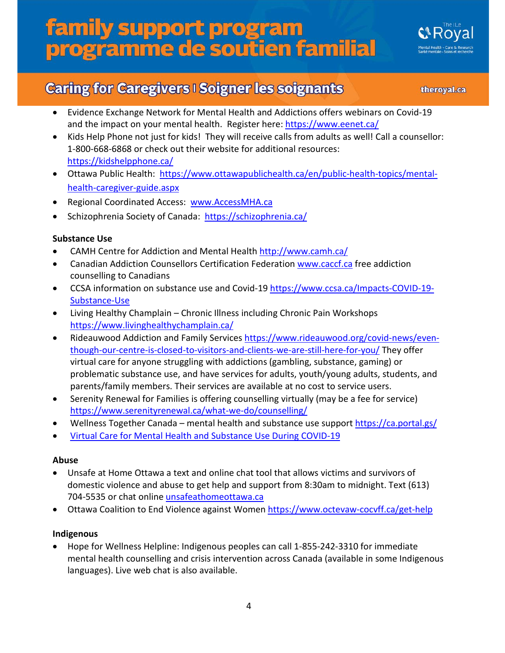

### **Caring for Caregivers I Soigner les soignants**

theroyal.ca

- Evidence Exchange Network for Mental Health and Addictions offers webinars on Covid-19 and the impact on your mental health. Register here:<https://www.eenet.ca/>
- Kids Help Phone not just for kids! They will receive calls from adults as well! Call [a counsellor:](tel:1-800-668-6868) [1-800-668-6868](tel:1-800-668-6868) or check out their website for additional resources: <https://kidshelpphone.ca/>
- Ottawa Public Health: [https://www.ottawapublichealth.ca/en/public-health-topics/mental](https://www.ottawapublichealth.ca/en/public-health-topics/mental-health-caregiver-guide.aspx)[health-caregiver-guide.aspx](https://www.ottawapublichealth.ca/en/public-health-topics/mental-health-caregiver-guide.aspx)
- Regional Coordinated Access: [www.AccessMHA.ca](http://www.accessmha.ca/)
- Schizophrenia Society of Canada: <https://schizophrenia.ca/>

#### **Substance Use**

- CAMH Centre for Addiction and Mental Healt[h http://www.camh.ca/](http://www.camh.ca/)
- Canadian Addiction Counsellors Certification Federation [www.caccf.ca](http://www.caccf.ca/) free addiction counselling to Canadians
- CCSA information on substance use and Covid-19 [https://www.ccsa.ca/Impacts-COVID-19-](https://www.ccsa.ca/Impacts-COVID-19-Substance-Use) [Substance-Use](https://www.ccsa.ca/Impacts-COVID-19-Substance-Use)
- Living Healthy Champlain Chronic Illness including Chronic Pain Workshops <https://www.livinghealthychamplain.ca/>
- Rideauwood Addiction and Family Services [https://www.rideauwood.org/covid-news/even](https://www.rideauwood.org/covid-news/even-though-our-centre-is-closed-to-visitors-and-clients-we-are-still-here-for-you/)[though-our-centre-is-closed-to-visitors-and-clients-we-are-still-here-for-you/](https://www.rideauwood.org/covid-news/even-though-our-centre-is-closed-to-visitors-and-clients-we-are-still-here-for-you/) They offer virtual care for anyone struggling with addictions (gambling, substance, gaming) or problematic substance use, and have services for adults, youth/young adults, students, and parents/family members. Their services are available at no cost to service users.
- Serenity Renewal for Families is offering counselling virtually (may be a fee for service) <https://www.serenityrenewal.ca/what-we-do/counselling/>
- Wellness Together Canada mental health and substance use suppor[t https://ca.portal.gs/](https://ca.portal.gs/)
- Virtual Care for Mental [Health and Substance Use During COVID-19](https://www.ccsa.ca/sites/default/files/2020-06/CCSA-COVID-19-Virtual-Care-Mental-Health-Substance-Use-2019-en.pdf)

#### **Abuse**

- Unsafe at Home Ottawa a text and online chat tool that allows victims and survivors of domestic violence and abuse to get help and support from 8:30am to midnight. Text (613) 704-5535 or chat online *unsafeathomeottawa.ca*
- Ottawa Coalition to End Violence against Women https://www.octevaw-cocyff.ca/get-help

#### **Indigenous**

• Hope for Wellness Helpline: Indigenous peoples can call 1-855-242-3310 for immediate mental health counselling and crisis intervention across Canada (available in some Indigenous languages). Live web chat is also available.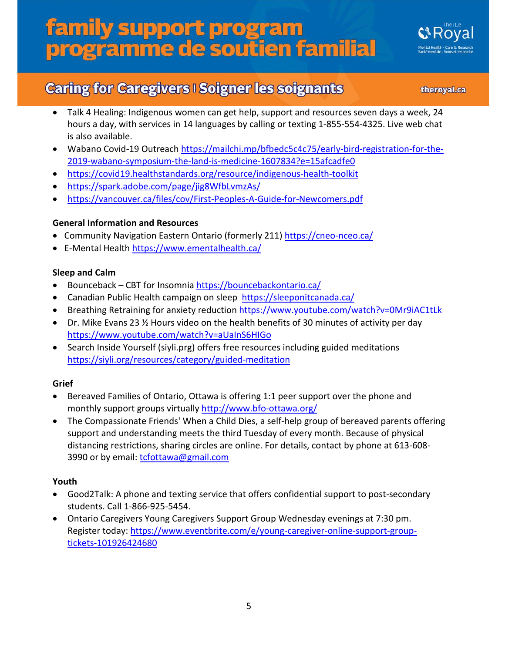

### **Caring for Caregivers I Soigner les soignants**

theroyal.ca

- Talk 4 Healing: Indigenous women can get help, support and resources seven days a week, 24 hours a day, with services in 14 languages by calling or texting 1-855-554-4325. Live web chat is also available.
- Wabano Covid-19 Outreach [https://mailchi.mp/bfbedc5c4c75/early-bird-registration-for-the-](https://mailchi.mp/bfbedc5c4c75/early-bird-registration-for-the-2019-wabano-symposium-the-land-is-medicine-1607834?e=15afcadfe0)[2019-wabano-symposium-the-land-is-medicine-1607834?e=15afcadfe0](https://mailchi.mp/bfbedc5c4c75/early-bird-registration-for-the-2019-wabano-symposium-the-land-is-medicine-1607834?e=15afcadfe0)
- <https://covid19.healthstandards.org/resource/indigenous-health-toolkit>
- <https://spark.adobe.com/page/jig8WfbLvmzAs/>
- <https://vancouver.ca/files/cov/First-Peoples-A-Guide-for-Newcomers.pdf>

#### **General Information and Resources**

- Community Navigation Eastern Ontario (formerly 211)<https://cneo-nceo.ca/>
- E-Mental Health<https://www.ementalhealth.ca/>

#### **Sleep and Calm**

- Bounceback CBT for Insomnia <https://bouncebackontario.ca/>
- Canadian Public Health campaign on sleep <https://sleeponitcanada.ca/>
- Breathing Retraining for anxiety reduction<https://www.youtube.com/watch?v=0Mr9iAC1tLk>
- Dr. Mike Evans 23  $\frac{1}{2}$  Hours video on the health benefits of 30 minutes of activity per day <https://www.youtube.com/watch?v=aUaInS6HIGo>
- Search Inside Yourself (siyli.prg) offers free resources including guided meditations <https://siyli.org/resources/category/guided-meditation>

#### **Grief**

- Bereaved Families of Ontario, Ottawa is offering 1:1 peer support over the phone and monthly support groups virtually<http://www.bfo-ottawa.org/>
- The Compassionate Friends' When a Child Dies, a self-help group of bereaved parents offering support and understanding meets the third Tuesday of every month. Because of physical distancing restrictions, sharing circles are online. For details, contact by phone at 613-608 3990 or by email: [tcfottawa@gmail.com](mailto:tcfottawa@gmail.com)

#### **Youth**

- Good2Talk: A phone and texting service that offers confidential support to post-secondary students. Call 1-866-925-5454.
- Ontario Caregivers Young Caregivers Support Group Wednesday evenings at 7:30 pm. Register today: [https://www.eventbrite.com/e/young-caregiver-online-support-group](https://www.eventbrite.com/e/young-caregiver-online-support-group-tickets-101926424680)[tickets-101926424680](https://www.eventbrite.com/e/young-caregiver-online-support-group-tickets-101926424680)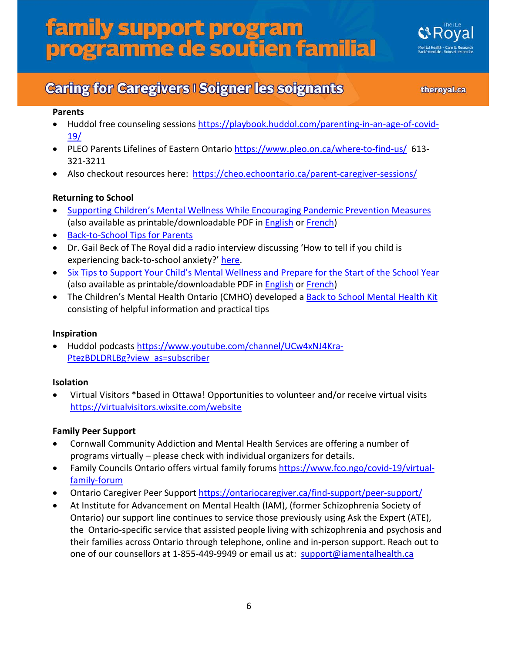

## **Caring for Caregivers I Soigner les soignants**

theroyal.ca

#### **Parents**

- Huddol free counseling sessions [https://playbook.huddol.com/parenting-in-an-age-of-covid-](https://playbook.huddol.com/parenting-in-an-age-of-covid-19/)[19/](https://playbook.huddol.com/parenting-in-an-age-of-covid-19/)
- PLEO Parents Lifelines of Eastern Ontario <https://www.pleo.on.ca/where-to-find-us/>613-321-3211
- Also checkout resources here:<https://cheo.echoontario.ca/parent-caregiver-sessions/>

#### **Returning to School**

- [Supporting Children's Mental Wellness While Encouraging Pandemic Prevention Measures](https://cmho.org/childrens-mental-wellness-and-pandemic-prevention/) (also available as printable/downloadable PDF in [English](https://cmho.sharepoint.com/sites/collaboration/Shared%20Documents/Forms/AllItems.aspx?id=%2Fsites%2Fcollaboration%2FShared%20Documents%2FCMHO%20For%20Partners%20%2D%20Back%20to%20School%20Mental%20Health%20Kit%2FSupporting%20children%E2%80%99s%20mental%20wellness%20while%20encouraging%20pandemic%20prevent%2Epdf&parent=%2Fsites%2Fcollaboration%2FShared%20Documents%2FCMHO%20For%20Partners%20%2D%20Back%20to%20School%20Mental%20Health%20Kit&p=true&originalPath=aHR0cHM6Ly9jbWhvLnNoYXJlcG9pbnQuY29tLzpiOi9zL2NvbGxhYm9yYXRpb24vRVVXcjU0SGFLUHRPdkR2WXVOenVOM0FCckp2ekRHOGFDNzJmYTdkSFh5d0Rydz9ydGltZT1JSjVZeVNkWjJFZw) o[r French\)](https://cmho.sharepoint.com/sites/collaboration/Shared%20Documents/Forms/AllItems.aspx?id=%2Fsites%2Fcollaboration%2FShared%20Documents%2FCMHO%20For%20Partners%20%2D%20Back%20to%20School%20Mental%20Health%20Kit%2FFrench%2FPromouvoir%20le%20bien%2D%C3%AAtre%20mental%20des%20enfants%2Epdf&parent=%2Fsites%2Fcollaboration%2FShared%20Documents%2FCMHO%20For%20Partners%20%2D%20Back%20to%20School%20Mental%20Health%20Kit%2FFrench&p=true&originalPath=aHR0cHM6Ly9jbWhvLnNoYXJlcG9pbnQuY29tLzpiOi9zL2NvbGxhYm9yYXRpb24vRWFNelozVnV0bFpGb0JHZS1RTmFQMEFCdWxmYTg0WC0xQm5LOXYzVWZreGRYQT9ydGltZT1nYWtQekNkWjJFZw)
- [Back-to-School Tips for Parents](https://cmho.org/back-to-school-tips-for-parents/)
- Dr. Gail Beck of The Royal did a radio interview discussing 'How to tell if you child is experiencing back-to-school anxiety?' [here.](https://omny.fm/shows/580-cfra/the-morning-rush-how-to-tell-if-your-child-is-expe)
- [Six Tips to Support Your Child's Mental Wellness and Prepare for the Start of the School Year](https://cmho.org/six-tips-to-support-your-childs-mental-wellness/) (also available as printable/downloadable PDF in [English](https://cmho.sharepoint.com/sites/collaboration/Shared%20Documents/Forms/AllItems.aspx?id=%2Fsites%2Fcollaboration%2FShared%20Documents%2FCMHO%20For%20Partners%20%2D%20Back%20to%20School%20Mental%20Health%20Kit%2FSix%20Tips%20to%20Support%20Your%20Child%E2%80%99s%20Mental%20Wellness%2Epdf&parent=%2Fsites%2Fcollaboration%2FShared%20Documents%2FCMHO%20For%20Partners%20%2D%20Back%20to%20School%20Mental%20Health%20Kit&p=true&originalPath=aHR0cHM6Ly9jbWhvLnNoYXJlcG9pbnQuY29tLzpiOi9zL2NvbGxhYm9yYXRpb24vRVk5ekQxZDlaQ0ZNb3EzTk1hdXlKU2tCT05JR0RNTXVrUFNIaGRCWnRpSmlXUT9ydGltZT1xT1pTQkNkWjJFZw) o[r French\)](https://cmho.sharepoint.com/sites/collaboration/Shared%20Documents/Forms/AllItems.aspx?id=%2Fsites%2Fcollaboration%2FShared%20Documents%2FCMHO%20For%20Partners%20%2D%20Back%20to%20School%20Mental%20Health%20Kit%2FFrench%2FSix%20conseils%20pour%20soutenir%20le%20bien%2D%C3%AAtre%20mental%20de%20votre%20enfant%2Epdf&parent=%2Fsites%2Fcollaboration%2FShared%20Documents%2FCMHO%20For%20Partners%20%2D%20Back%20to%20School%20Mental%20Health%20Kit%2FFrench&p=true&originalPath=aHR0cHM6Ly9jbWhvLnNoYXJlcG9pbnQuY29tLzpiOi9zL2NvbGxhYm9yYXRpb24vRWNlYmkzdHdNVUpHcWVrcnBpNVYzR01CQ1d6dEFkVU1UZFlUR3JsNVVkYktCQT9ydGltZT1aUUZzc0NkWjJFZw)
- The Children's Mental Health Ontario (CMHO) developed a [Back to School Mental Health Kit](https://cmho.org/back-to-school/) consisting of helpful information and practical tips

#### **Inspiration**

• Huddol podcasts [https://www.youtube.com/channel/UCw4xNJ4Kra-](https://www.youtube.com/channel/UCw4xNJ4Kra-PtezBDLDRLBg?view_as=subscriber)[PtezBDLDRLBg?view\\_as=subscriber](https://www.youtube.com/channel/UCw4xNJ4Kra-PtezBDLDRLBg?view_as=subscriber)

#### **Isolation**

• Virtual Visitors \*based in Ottawa! Opportunities to volunteer and/or receive virtual visits <https://virtualvisitors.wixsite.com/website>

#### **Family Peer Support**

- Cornwall Community Addiction and Mental Health Services are offering a number of programs virtually – please check with individual organizers for details.
- Family Councils Ontario offers virtual family forums [https://www.fco.ngo/covid-19/virtual](https://www.fco.ngo/covid-19/virtual-family-forum)[family-forum](https://www.fco.ngo/covid-19/virtual-family-forum)
- Ontario Caregiver Peer Support<https://ontariocaregiver.ca/find-support/peer-support/>
- At Institute for Advancement on Mental Health (IAM), (former Schizophrenia Society of Ontario) our support line continues to service those previously using Ask the Expert (ATE), the Ontario-specific service that assisted people living with schizophrenia and psychosis and their families across Ontario through telephone, online and in-person support. Reach out to one of our counsellors at 1-855-449-9949 or email us at: [support@iamentalhealth.ca](mailto:support@iamentalhealth.ca)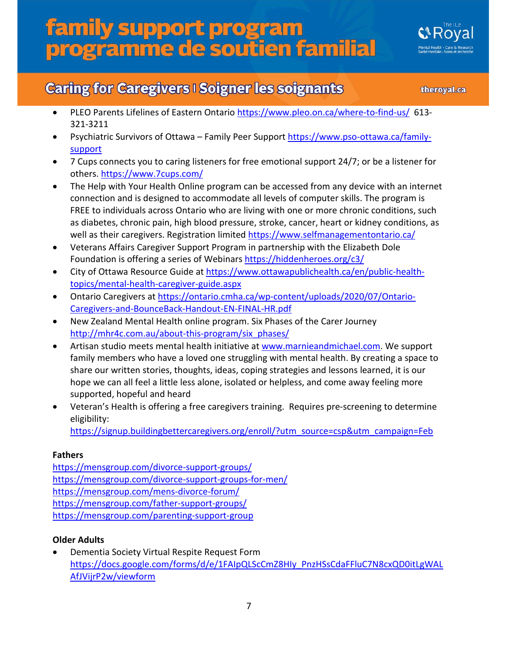

### **Caring for Caregivers I Soigner les soignants**

theroyal.ca

- PLEO Parents Lifelines of Eastern Ontario <https://www.pleo.on.ca/where-to-find-us/>613-321-3211
- Psychiatric Survivors of Ottawa Family Peer Support [https://www.pso-ottawa.ca/family](https://www.pso-ottawa.ca/family-support)[support](https://www.pso-ottawa.ca/family-support)
- 7 Cups connects you to caring listeners for free emotional support 24/7; or be a listener for others.<https://www.7cups.com/>
- The Help with Your Health Online program can be accessed from any device with an internet connection and is designed to accommodate all levels of computer skills. The program is FREE to individuals across Ontario who are living with one or more chronic conditions, such as diabetes, chronic pain, high blood pressure, stroke, cancer, heart or kidney conditions, as well as their caregivers. Registration limited<https://www.selfmanagementontario.ca/>
- Veterans Affairs Caregiver Support Program in partnership with the Elizabeth Dole Foundation is offering a series of Webinars <https://hiddenheroes.org/c3/>
- City of Ottawa Resource Guide a[t https://www.ottawapublichealth.ca/en/public-health](https://www.ottawapublichealth.ca/en/public-health-topics/mental-health-caregiver-guide.aspx)[topics/mental-health-caregiver-guide.aspx](https://www.ottawapublichealth.ca/en/public-health-topics/mental-health-caregiver-guide.aspx)
- Ontario Caregivers at [https://ontario.cmha.ca/wp-content/uploads/2020/07/Ontario-](https://ontario.cmha.ca/wp-content/uploads/2020/07/Ontario-Caregivers-and-BounceBack-Handout-EN-FINAL-HR.pdf)[Caregivers-and-BounceBack-Handout-EN-FINAL-HR.pdf](https://ontario.cmha.ca/wp-content/uploads/2020/07/Ontario-Caregivers-and-BounceBack-Handout-EN-FINAL-HR.pdf)
- New Zealand Mental Health online program. Six Phases of the Carer Journey [http://mhr4c.com.au/about-this-program/six\\_phases/](http://mhr4c.com.au/about-this-program/six_phases/)
- Artisan studio meets mental health initiative at [www.marnieandmichael.com.](http://www.marnieandmichael.com/) We support family members who have a loved one struggling with mental health. By creating a space to share our written stories, thoughts, ideas, coping strategies and lessons learned, it is our hope we can all feel a little less alone, isolated or helpless, and come away feeling more supported, hopeful and heard
- Veteran's Health is offering a free caregivers training. Requires pre-screening to determine eligibility:

[https://signup.buildingbettercaregivers.org/enroll/?utm\\_source=csp&utm\\_campaign=Feb](https://signup.buildingbettercaregivers.org/enroll/?utm_source=csp&utm_campaign=Feb)

#### **Fathers**

<https://mensgroup.com/divorce-support-groups/> <https://mensgroup.com/divorce-support-groups-for-men/> <https://mensgroup.com/mens-divorce-forum/> <https://mensgroup.com/father-support-groups/> <https://mensgroup.com/parenting-support-group>

#### **Older Adults**

• Dementia Society Virtual Respite Request Form [https://docs.google.com/forms/d/e/1FAIpQLScCmZ8HIy\\_PnzHSsCdaFFluC7N8cxQD0itLgWAL](https://docs.google.com/forms/d/e/1FAIpQLScCmZ8HIy_PnzHSsCdaFFluC7N8cxQD0itLgWALAfJVijrP2w/viewform) [AfJVijrP2w/viewform](https://docs.google.com/forms/d/e/1FAIpQLScCmZ8HIy_PnzHSsCdaFFluC7N8cxQD0itLgWALAfJVijrP2w/viewform)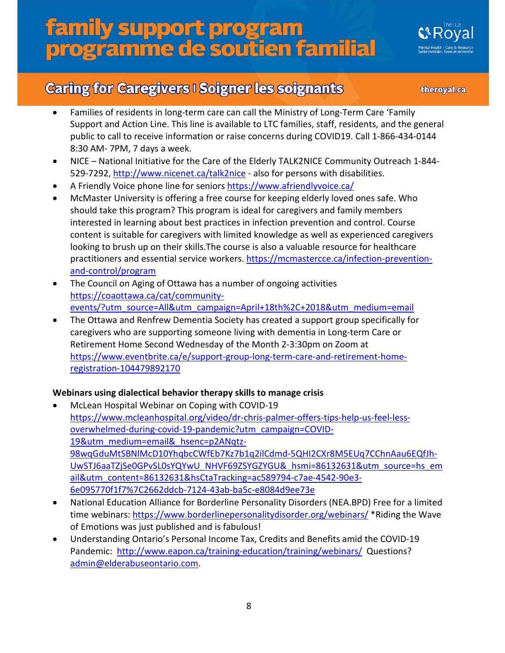

## **Caring for Caregivers I Soigner les soignants**

theroyal.ca

- Families of residents in long-term care can call the Ministry of Long-Term Care 'Family Support and Action Line. This line is available to LTC families, staff, residents, and the general public to call to receive information or raise concerns during COVID19. Call 1-866-434-0144 8:30 AM- 7PM, 7 days a week.
- NICE National Initiative for the Care of the Elderly TALK2NICE Community Outreach 1-844- 529-7292,<http://www.nicenet.ca/talk2nice> - also for persons with disabilities.
- A Friendly Voice phone line for seniors<https://www.afriendlyvoice.ca/>
- McMaster University is offering a free course for keeping elderly loved ones safe. Who should take this program? This program is ideal for caregivers and family members interested in learning about best practices in infection prevention and control. Course content is suitable for caregivers with limited knowledge as well as experienced caregivers looking to brush up on their skills.The course is also a valuable resource for healthcare practitioners and essential service workers. [https://mcmastercce.ca/infection-prevention](https://mcmastercce.ca/infection-prevention-and-control/program)[and-control/program](https://mcmastercce.ca/infection-prevention-and-control/program)
- The Council on Aging of Ottawa has a number of ongoing activities [https://coaottawa.ca/cat/community](https://coaottawa.ca/cat/community-events/?utm_source=All&utm_campaign=April+18th%2C+2018&utm_medium=email)[events/?utm\\_source=All&utm\\_campaign=April+18th%2C+2018&utm\\_medium=email](https://coaottawa.ca/cat/community-events/?utm_source=All&utm_campaign=April+18th%2C+2018&utm_medium=email)
- The Ottawa and Renfrew Dementia Society has created a support group specifically for caregivers who are supporting someone living with dementia in Long-term Care or Retirement Home Second Wednesday of the Month 2-3:30pm on Zoom at [https://www.eventbrite.ca/e/support-group-long-term-care-and-retirement-home](https://www.eventbrite.ca/e/support-group-long-term-care-and-retirement-home-registration-104479892170)[registration-104479892170](https://www.eventbrite.ca/e/support-group-long-term-care-and-retirement-home-registration-104479892170)

#### **Webinars using dialectical behavior therapy skills to manage crisis**

- McLean Hospital Webinar on Coping with COVID-19 [https://www.mcleanhospital.org/video/dr-chris-palmer-offers-tips-help-us-feel-less](https://www.mcleanhospital.org/video/dr-chris-palmer-offers-tips-help-us-feel-less-overwhelmed-during-covid-19-pandemic?utm_campaign=COVID-19&utm_medium=email&_hsenc=p2ANqtz-98wqGduMtSBNlMcD10YhqbcCWfEb7Kz7b1q2ilCdmd-5QHI2CXr8M5EUq7CChnAau6EQfJh-UwSTJ6aaTZjSe0GPvSL0sYQYwU_NHVF69ZSYGZYGU&_hsmi=86132631&utm_source=hs_email&utm_content=86132631&hsCtaTracking=ac589794-c7ae-4542-90e3-6e095770f1f7%7C2662ddcb-7124-43ab-ba5c-e8084d9ee73e)[overwhelmed-during-covid-19-pandemic?utm\\_campaign=COVID-](https://www.mcleanhospital.org/video/dr-chris-palmer-offers-tips-help-us-feel-less-overwhelmed-during-covid-19-pandemic?utm_campaign=COVID-19&utm_medium=email&_hsenc=p2ANqtz-98wqGduMtSBNlMcD10YhqbcCWfEb7Kz7b1q2ilCdmd-5QHI2CXr8M5EUq7CChnAau6EQfJh-UwSTJ6aaTZjSe0GPvSL0sYQYwU_NHVF69ZSYGZYGU&_hsmi=86132631&utm_source=hs_email&utm_content=86132631&hsCtaTracking=ac589794-c7ae-4542-90e3-6e095770f1f7%7C2662ddcb-7124-43ab-ba5c-e8084d9ee73e)[19&utm\\_medium=email&\\_hsenc=p2ANqtz-](https://www.mcleanhospital.org/video/dr-chris-palmer-offers-tips-help-us-feel-less-overwhelmed-during-covid-19-pandemic?utm_campaign=COVID-19&utm_medium=email&_hsenc=p2ANqtz-98wqGduMtSBNlMcD10YhqbcCWfEb7Kz7b1q2ilCdmd-5QHI2CXr8M5EUq7CChnAau6EQfJh-UwSTJ6aaTZjSe0GPvSL0sYQYwU_NHVF69ZSYGZYGU&_hsmi=86132631&utm_source=hs_email&utm_content=86132631&hsCtaTracking=ac589794-c7ae-4542-90e3-6e095770f1f7%7C2662ddcb-7124-43ab-ba5c-e8084d9ee73e)[98wqGduMtSBNlMcD10YhqbcCWfEb7Kz7b1q2ilCdmd-5QHI2CXr8M5EUq7CChnAau6EQfJh-](https://www.mcleanhospital.org/video/dr-chris-palmer-offers-tips-help-us-feel-less-overwhelmed-during-covid-19-pandemic?utm_campaign=COVID-19&utm_medium=email&_hsenc=p2ANqtz-98wqGduMtSBNlMcD10YhqbcCWfEb7Kz7b1q2ilCdmd-5QHI2CXr8M5EUq7CChnAau6EQfJh-UwSTJ6aaTZjSe0GPvSL0sYQYwU_NHVF69ZSYGZYGU&_hsmi=86132631&utm_source=hs_email&utm_content=86132631&hsCtaTracking=ac589794-c7ae-4542-90e3-6e095770f1f7%7C2662ddcb-7124-43ab-ba5c-e8084d9ee73e)[UwSTJ6aaTZjSe0GPvSL0sYQYwU\\_NHVF69ZSYGZYGU&\\_hsmi=86132631&utm\\_source=hs\\_em](https://www.mcleanhospital.org/video/dr-chris-palmer-offers-tips-help-us-feel-less-overwhelmed-during-covid-19-pandemic?utm_campaign=COVID-19&utm_medium=email&_hsenc=p2ANqtz-98wqGduMtSBNlMcD10YhqbcCWfEb7Kz7b1q2ilCdmd-5QHI2CXr8M5EUq7CChnAau6EQfJh-UwSTJ6aaTZjSe0GPvSL0sYQYwU_NHVF69ZSYGZYGU&_hsmi=86132631&utm_source=hs_email&utm_content=86132631&hsCtaTracking=ac589794-c7ae-4542-90e3-6e095770f1f7%7C2662ddcb-7124-43ab-ba5c-e8084d9ee73e) [ail&utm\\_content=86132631&hsCtaTracking=ac589794-c7ae-4542-90e3-](https://www.mcleanhospital.org/video/dr-chris-palmer-offers-tips-help-us-feel-less-overwhelmed-during-covid-19-pandemic?utm_campaign=COVID-19&utm_medium=email&_hsenc=p2ANqtz-98wqGduMtSBNlMcD10YhqbcCWfEb7Kz7b1q2ilCdmd-5QHI2CXr8M5EUq7CChnAau6EQfJh-UwSTJ6aaTZjSe0GPvSL0sYQYwU_NHVF69ZSYGZYGU&_hsmi=86132631&utm_source=hs_email&utm_content=86132631&hsCtaTracking=ac589794-c7ae-4542-90e3-6e095770f1f7%7C2662ddcb-7124-43ab-ba5c-e8084d9ee73e) [6e095770f1f7%7C2662ddcb-7124-43ab-ba5c-e8084d9ee73e](https://www.mcleanhospital.org/video/dr-chris-palmer-offers-tips-help-us-feel-less-overwhelmed-during-covid-19-pandemic?utm_campaign=COVID-19&utm_medium=email&_hsenc=p2ANqtz-98wqGduMtSBNlMcD10YhqbcCWfEb7Kz7b1q2ilCdmd-5QHI2CXr8M5EUq7CChnAau6EQfJh-UwSTJ6aaTZjSe0GPvSL0sYQYwU_NHVF69ZSYGZYGU&_hsmi=86132631&utm_source=hs_email&utm_content=86132631&hsCtaTracking=ac589794-c7ae-4542-90e3-6e095770f1f7%7C2662ddcb-7124-43ab-ba5c-e8084d9ee73e)
- National Education Alliance for Borderline Personality Disorders (NEA.BPD) Free for a limited time webinars: <https://www.borderlinepersonalitydisorder.org/webinars/> \*Riding the Wave of Emotions was just published and is fabulous!
- Understanding Ontario's Personal Income Tax, Credits and Benefits amid the COVID-19 Pandemic:<http://www.eapon.ca/training-education/training/webinars/>Questions? [admin@elderabuseontario.com.](mailto:admin@elderabuseontario.com)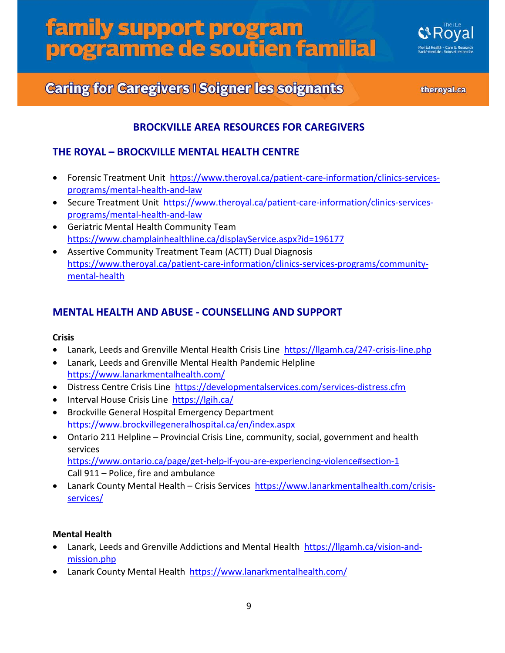

## **Caring for Caregivers I Soigner les soignants**

theroyal.ca

#### **BROCKVILLE AREA RESOURCES FOR CAREGIVERS**

#### **THE ROYAL – BROCKVILLE MENTAL HEALTH CENTRE**

- Forensic Treatment Unit [https://www.theroyal.ca/patient-care-information/clinics-services](https://www.theroyal.ca/patient-care-information/clinics-services-programs/mental-health-and-law)[programs/mental-health-and-law](https://www.theroyal.ca/patient-care-information/clinics-services-programs/mental-health-and-law)
- Secure Treatment Unit [https://www.theroyal.ca/patient-care-information/clinics-services](https://www.theroyal.ca/patient-care-information/clinics-services-programs/mental-health-and-law)[programs/mental-health-and-law](https://www.theroyal.ca/patient-care-information/clinics-services-programs/mental-health-and-law)
- Geriatric Mental Health Community Team <https://www.champlainhealthline.ca/displayService.aspx?id=196177>
- Assertive Community Treatment Team (ACTT) Dual Diagnosis [https://www.theroyal.ca/patient-care-information/clinics-services-programs/community](https://www.theroyal.ca/patient-care-information/clinics-services-programs/community-mental-health)[mental-health](https://www.theroyal.ca/patient-care-information/clinics-services-programs/community-mental-health)

#### **MENTAL HEALTH AND ABUSE - COUNSELLING AND SUPPORT**

#### **Crisis**

- Lanark, Leeds and Grenville Mental Health Crisis Line<https://llgamh.ca/247-crisis-line.php>
- Lanark, Leeds and Grenville Mental Health Pandemic Helpline <https://www.lanarkmentalhealth.com/>
- Distress Centre Crisis Line <https://developmentalservices.com/services-distress.cfm>
- Interval House Crisis Line <https://lgih.ca/>
- Brockville General Hospital Emergency Department <https://www.brockvillegeneralhospital.ca/en/index.aspx>
- Ontario 211 Helpline Provincial Crisis Line, community, social, government and health services <https://www.ontario.ca/page/get-help-if-you-are-experiencing-violence#section-1> Call 911 – Police, fire and ambulance
- Lanark County Mental Health Crisis Services [https://www.lanarkmentalhealth.com/crisis](https://www.lanarkmentalhealth.com/crisis-services/)[services/](https://www.lanarkmentalhealth.com/crisis-services/)

#### **Mental Health**

- Lanark, Leeds and Grenville Addictions and Mental Health [https://llgamh.ca/vision-and](https://llgamh.ca/vision-and-mission.php)[mission.php](https://llgamh.ca/vision-and-mission.php)
- Lanark County Mental Health <https://www.lanarkmentalhealth.com/>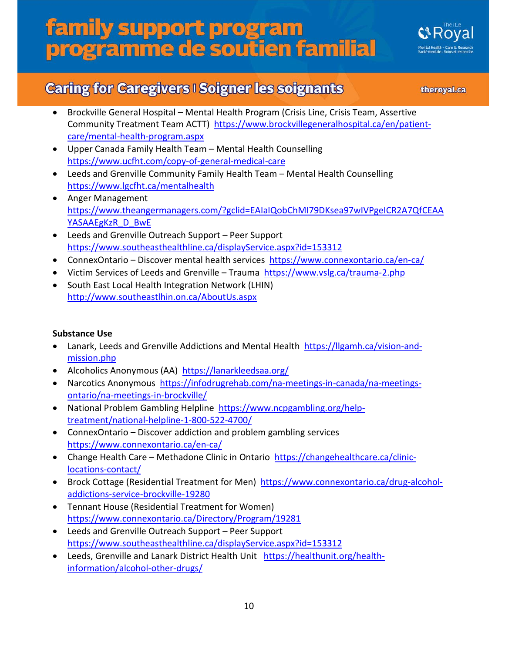

### **Caring for Caregivers I Soigner les soignants**

theroyal.ca

- Brockville General Hospital Mental Health Program (Crisis Line, Crisis Team, Assertive Community Treatment Team ACTT) [https://www.brockvillegeneralhospital.ca/en/patient](https://www.brockvillegeneralhospital.ca/en/patient-care/mental-health-program.aspx)[care/mental-health-program.aspx](https://www.brockvillegeneralhospital.ca/en/patient-care/mental-health-program.aspx)
- Upper Canada Family Health Team Mental Health Counselling <https://www.ucfht.com/copy-of-general-medical-care>
- Leeds and Grenville Community Family Health Team Mental Health Counselling <https://www.lgcfht.ca/mentalhealth>
- Anger Management [https://www.theangermanagers.com/?gclid=EAIaIQobChMI79DKsea97wIVPgeICR2A7QfCEAA](https://www.theangermanagers.com/?gclid=EAIaIQobChMI79DKsea97wIVPgeICR2A7QfCEAAYASAAEgKzR_D_BwE) [YASAAEgKzR\\_D\\_BwE](https://www.theangermanagers.com/?gclid=EAIaIQobChMI79DKsea97wIVPgeICR2A7QfCEAAYASAAEgKzR_D_BwE)
- Leeds and Grenville Outreach Support Peer Support <https://www.southeasthealthline.ca/displayService.aspx?id=153312>
- ConnexOntario Discover mental health services <https://www.connexontario.ca/en-ca/>
- Victim Services of Leeds and Grenville Trauma <https://www.vslg.ca/trauma-2.php>
- South East Local Health Integration Network (LHIN) <http://www.southeastlhin.on.ca/AboutUs.aspx>

#### **Substance Use**

- Lanark, Leeds and Grenville Addictions and Mental Health [https://llgamh.ca/vision-and](https://llgamh.ca/vision-and-mission.php)[mission.php](https://llgamh.ca/vision-and-mission.php)
- Alcoholics Anonymous (AA) <https://lanarkleedsaa.org/>
- Narcotics Anonymous [https://infodrugrehab.com/na-meetings-in-canada/na-meetings](https://infodrugrehab.com/na-meetings-in-canada/na-meetings-ontario/na-meetings-in-brockville/)[ontario/na-meetings-in-brockville/](https://infodrugrehab.com/na-meetings-in-canada/na-meetings-ontario/na-meetings-in-brockville/)
- National Problem Gambling Helpline [https://www.ncpgambling.org/help](https://www.ncpgambling.org/help-treatment/national-helpline-1-800-522-4700/)[treatment/national-helpline-1-800-522-4700/](https://www.ncpgambling.org/help-treatment/national-helpline-1-800-522-4700/)
- ConnexOntario Discover addiction and problem gambling services <https://www.connexontario.ca/en-ca/>
- Change Health Care Methadone Clinic in Ontario [https://changehealthcare.ca/clinic](https://changehealthcare.ca/clinic-locations-contact/)[locations-contact/](https://changehealthcare.ca/clinic-locations-contact/)
- Brock Cottage (Residential Treatment for Men) [https://www.connexontario.ca/drug-alcohol](https://www.connexontario.ca/drug-alcohol-addictions-service-brockville-19280)[addictions-service-brockville-19280](https://www.connexontario.ca/drug-alcohol-addictions-service-brockville-19280)
- Tennant House (Residential Treatment for Women) <https://www.connexontario.ca/Directory/Program/19281>
- Leeds and Grenville Outreach Support Peer Support <https://www.southeasthealthline.ca/displayService.aspx?id=153312>
- Leeds, Grenville and Lanark District Health Unit [https://healthunit.org/health](https://healthunit.org/health-information/alcohol-other-drugs/)[information/alcohol-other-drugs/](https://healthunit.org/health-information/alcohol-other-drugs/)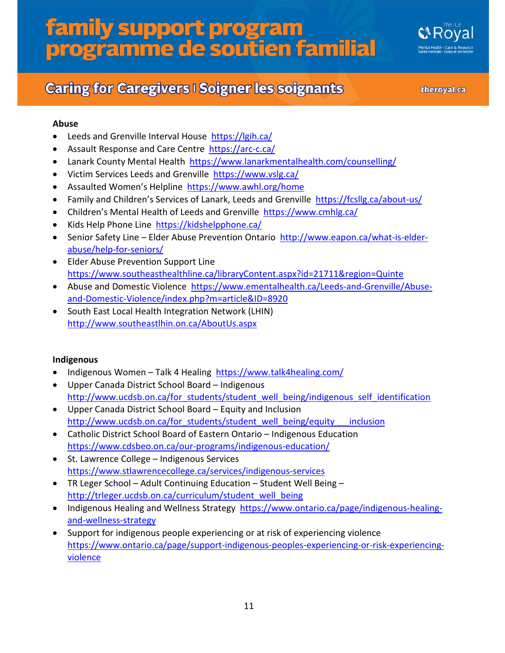## **Caring for Caregivers I Soigner les soignants**

theroyal.ca

#### **Abuse**

- Leeds and Grenville Interval House <https://lgih.ca/>
- Assault Response and Care Centre <https://arc-c.ca/>
- Lanark County Mental Health <https://www.lanarkmentalhealth.com/counselling/>
- Victim Services Leeds and Grenville<https://www.vslg.ca/>
- Assaulted Women's Helpline <https://www.awhl.org/home>
- Family and Children's Services of Lanark, Leeds and Grenville <https://fcsllg.ca/about-us/>
- Children's Mental Health of Leeds and Grenville <https://www.cmhlg.ca/>
- Kids Help Phone Line <https://kidshelpphone.ca/>
- Senior Safety Line Elder Abuse Prevention Ontario [http://www.eapon.ca/what-is-elder](http://www.eapon.ca/what-is-elder-abuse/help-for-seniors/)[abuse/help-for-seniors/](http://www.eapon.ca/what-is-elder-abuse/help-for-seniors/)
- Elder Abuse Prevention Support Line [https://www.southeasthealthline.ca/libraryContent.aspx?id=21711&region=Quinte](https://www.southeasthealthline.ca/libraryContent.aspx?id=21711®ion=Quinte)
- Abuse and Domestic Violence [https://www.ementalhealth.ca/Leeds-and-Grenville/Abuse](https://www.ementalhealth.ca/Leeds-and-Grenville/Abuse-and-Domestic-Violence/index.php?m=article&ID=8920)[and-Domestic-Violence/index.php?m=article&ID=8920](https://www.ementalhealth.ca/Leeds-and-Grenville/Abuse-and-Domestic-Violence/index.php?m=article&ID=8920)
- South East Local Health Integration Network (LHIN) <http://www.southeastlhin.on.ca/AboutUs.aspx>

#### **Indigenous**

- Indigenous Women Talk 4 Healing <https://www.talk4healing.com/>
- Upper Canada District School Board Indigenous [http://www.ucdsb.on.ca/for\\_students/student\\_well\\_being/indigenous\\_self\\_identification](http://www.ucdsb.on.ca/for_students/student_well_being/indigenous_self_identification)
- Upper Canada District School Board Equity and Inclusion [http://www.ucdsb.on.ca/for\\_students/student\\_well\\_being/equity\\_\\_\\_inclusion](http://www.ucdsb.on.ca/for_students/student_well_being/equity___inclusion)
- Catholic District School Board of Eastern Ontario Indigenous Education <https://www.cdsbeo.on.ca/our-programs/indigenous-education/>
- St. Lawrence College Indigenous Services <https://www.stlawrencecollege.ca/services/indigenous-services>
- TR Leger School Adult Continuing Education Student Well Being [http://trleger.ucdsb.on.ca/curriculum/student\\_well\\_being](http://trleger.ucdsb.on.ca/curriculum/student_well_being)
- Indigenous Healing and Wellness Strategy [https://www.ontario.ca/page/indigenous-healing](https://www.ontario.ca/page/indigenous-healing-and-wellness-strategy)[and-wellness-strategy](https://www.ontario.ca/page/indigenous-healing-and-wellness-strategy)
- Support for indigenous people experiencing or at risk of experiencing violence [https://www.ontario.ca/page/support-indigenous-peoples-experiencing-or-risk-experiencing](https://www.ontario.ca/page/support-indigenous-peoples-experiencing-or-risk-experiencing-violence)[violence](https://www.ontario.ca/page/support-indigenous-peoples-experiencing-or-risk-experiencing-violence)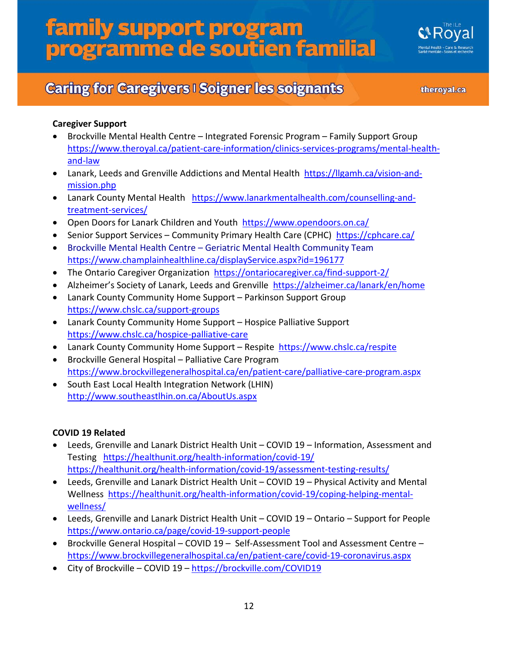## **Caring for Caregivers I Soigner les soignants**

theroyal.ca

#### **Caregiver Support**

- Brockville Mental Health Centre Integrated Forensic Program Family Support Group [https://www.theroyal.ca/patient-care-information/clinics-services-programs/mental-health](https://www.theroyal.ca/patient-care-information/clinics-services-programs/mental-health-and-law)[and-law](https://www.theroyal.ca/patient-care-information/clinics-services-programs/mental-health-and-law)
- Lanark, Leeds and Grenville Addictions and Mental Health [https://llgamh.ca/vision-and](https://llgamh.ca/vision-and-mission.php)[mission.php](https://llgamh.ca/vision-and-mission.php)
- Lanark County Mental Health [https://www.lanarkmentalhealth.com/counselling-and](https://www.lanarkmentalhealth.com/counselling-and-treatment-services/)[treatment-services/](https://www.lanarkmentalhealth.com/counselling-and-treatment-services/)
- Open Doors for Lanark Children and Youth<https://www.opendoors.on.ca/>
- Senior Support Services Community Primary Health Care (CPHC) <https://cphcare.ca/>
- Brockville Mental Health Centre Geriatric Mental Health Community Team <https://www.champlainhealthline.ca/displayService.aspx?id=196177>
- The Ontario Caregiver Organization <https://ontariocaregiver.ca/find-support-2/>
- Alzheimer's Society of Lanark, Leeds and Grenville <https://alzheimer.ca/lanark/en/home>
- Lanark County Community Home Support Parkinson Support Group <https://www.chslc.ca/support-groups>
- Lanark County Community Home Support Hospice Palliative Support <https://www.chslc.ca/hospice-palliative-care>
- Lanark County Community Home Support Respite <https://www.chslc.ca/respite>
- Brockville General Hospital Palliative Care Program <https://www.brockvillegeneralhospital.ca/en/patient-care/palliative-care-program.aspx>
- South East Local Health Integration Network (LHIN) <http://www.southeastlhin.on.ca/AboutUs.aspx>

#### **COVID 19 Related**

- Leeds, Grenville and Lanark District Health Unit COVID 19 Information, Assessment and Testing <https://healthunit.org/health-information/covid-19/> <https://healthunit.org/health-information/covid-19/assessment-testing-results/>
- Leeds, Grenville and Lanark District Health Unit COVID 19 Physical Activity and Mental Wellness [https://healthunit.org/health-information/covid-19/coping-helping-mental](https://healthunit.org/health-information/covid-19/coping-helping-mental-wellness/)[wellness/](https://healthunit.org/health-information/covid-19/coping-helping-mental-wellness/)
- Leeds, Grenville and Lanark District Health Unit COVID 19 Ontario Support for People <https://www.ontario.ca/page/covid-19-support-people>
- Brockville General Hospital COVID 19 Self-Assessment Tool and Assessment Centre <https://www.brockvillegeneralhospital.ca/en/patient-care/covid-19-coronavirus.aspx>
- City of Brockville COVID 19 <https://brockville.com/COVID19>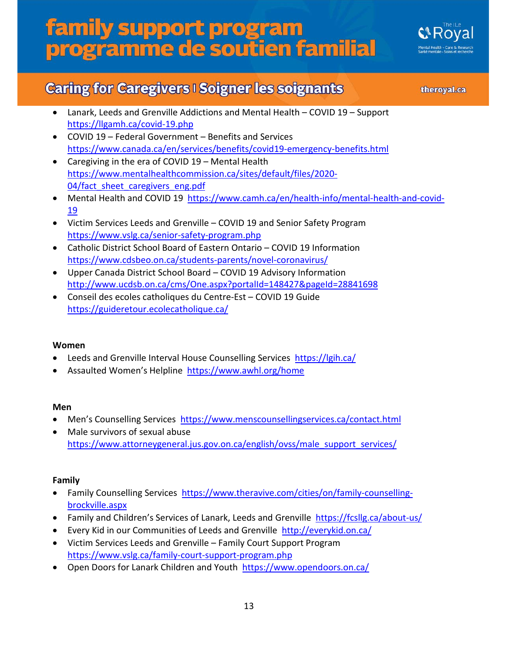

### **Caring for Caregivers I Soigner les soignants**

theroyal.ca

- Lanark, Leeds and Grenville Addictions and Mental Health COVID 19 Support <https://llgamh.ca/covid-19.php>
- COVID 19 Federal Government Benefits and Services <https://www.canada.ca/en/services/benefits/covid19-emergency-benefits.html>
- Caregiving in the era of COVID 19 Mental Health [https://www.mentalhealthcommission.ca/sites/default/files/2020-](https://www.mentalhealthcommission.ca/sites/default/files/2020-04/fact_sheet_caregivers_eng.pdf) 04/fact sheet caregivers eng.pdf
- Mental Health and COVID 19 [https://www.camh.ca/en/health-info/mental-health-and-covid-](https://www.camh.ca/en/health-info/mental-health-and-covid-19)[19](https://www.camh.ca/en/health-info/mental-health-and-covid-19)
- Victim Services Leeds and Grenville COVID 19 and Senior Safety Program <https://www.vslg.ca/senior-safety-program.php>
- Catholic District School Board of Eastern Ontario COVID 19 Information <https://www.cdsbeo.on.ca/students-parents/novel-coronavirus/>
- Upper Canada District School Board COVID 19 Advisory Information <http://www.ucdsb.on.ca/cms/One.aspx?portalId=148427&pageId=28841698>
- [Conseil des ecoles catholiques du Centre-Est](http://www.ecolecatholique.ca/) COVID 19 Guide <https://guideretour.ecolecatholique.ca/>

#### **Women**

- Leeds and Grenville Interval House Counselling Services <https://lgih.ca/>
- Assaulted Women's Helpline <https://www.awhl.org/home>

#### **Men**

- Men's Counselling Services<https://www.menscounsellingservices.ca/contact.html>
- Male survivors of sexual abuse [https://www.attorneygeneral.jus.gov.on.ca/english/ovss/male\\_support\\_services/](https://www.attorneygeneral.jus.gov.on.ca/english/ovss/male_support_services/)

#### **Family**

- Family Counselling Services [https://www.theravive.com/cities/on/family-counselling](https://www.theravive.com/cities/on/family-counselling-brockville.aspx)[brockville.aspx](https://www.theravive.com/cities/on/family-counselling-brockville.aspx)
- Family and Children's Services of Lanark, Leeds and Grenville <https://fcsllg.ca/about-us/>
- Every Kid in our Communities of Leeds and Grenville<http://everykid.on.ca/>
- Victim Services Leeds and Grenville Family Court Support Program <https://www.vslg.ca/family-court-support-program.php>
- Open Doors for Lanark Children and Youth<https://www.opendoors.on.ca/>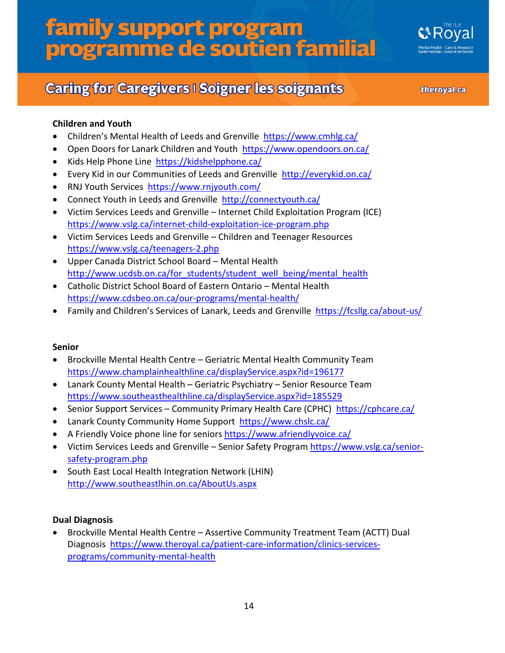

theroyal.ca

#### **Children and Youth**

- Children's Mental Health of Leeds and Grenville <https://www.cmhlg.ca/>
- Open Doors for Lanark Children and Youth<https://www.opendoors.on.ca/>
- Kids Help Phone Line <https://kidshelpphone.ca/>
- Every Kid in our Communities of Leeds and Grenville<http://everykid.on.ca/>
- RNJ Youth Services <https://www.rnjyouth.com/>
- Connect Youth in Leeds and Grenville <http://connectyouth.ca/>
- Victim Services Leeds and Grenville Internet Child Exploitation Program (ICE) <https://www.vslg.ca/internet-child-exploitation-ice-program.php>
- Victim Services Leeds and Grenville Children and Teenager Resources <https://www.vslg.ca/teenagers-2.php>
- Upper Canada District School Board Mental Health [http://www.ucdsb.on.ca/for\\_students/student\\_well\\_being/mental\\_health](http://www.ucdsb.on.ca/for_students/student_well_being/mental_health)
- Catholic District School Board of Eastern Ontario Mental Health <https://www.cdsbeo.on.ca/our-programs/mental-health/>
- Family and Children's Services of Lanark, Leeds and Grenville <https://fcsllg.ca/about-us/>

#### **Senior**

- Brockville Mental Health Centre Geriatric Mental Health Community Team <https://www.champlainhealthline.ca/displayService.aspx?id=196177>
- Lanark County Mental Health Geriatric Psychiatry Senior Resource Team <https://www.southeasthealthline.ca/displayService.aspx?id=185529>
- Senior Support Services Community Primary Health Care (CPHC) <https://cphcare.ca/>
- Lanark County Community Home Support <https://www.chslc.ca/>
- A Friendly Voice phone line for seniors<https://www.afriendlyvoice.ca/>
- Victim Services Leeds and Grenville Senior Safety Program [https://www.vslg.ca/senior](https://www.vslg.ca/senior-safety-program.php)[safety-program.php](https://www.vslg.ca/senior-safety-program.php)
- South East Local Health Integration Network (LHIN) <http://www.southeastlhin.on.ca/AboutUs.aspx>

#### **Dual Diagnosis**

• Brockville Mental Health Centre – Assertive Community Treatment Team (ACTT) Dual Diagnosis [https://www.theroyal.ca/patient-care-information/clinics-services](https://www.theroyal.ca/patient-care-information/clinics-services-programs/community-mental-health)[programs/community-mental-health](https://www.theroyal.ca/patient-care-information/clinics-services-programs/community-mental-health)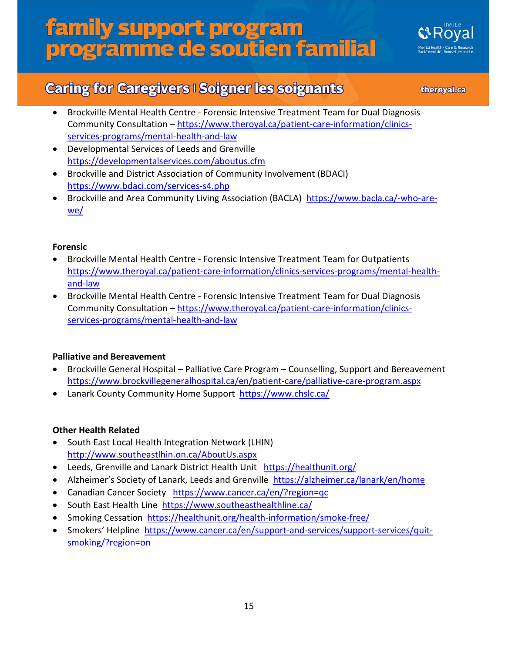

## **Caring for Caregivers I Soigner les soignants**

theroyal.ca

- Brockville Mental Health Centre Forensic Intensive Treatment Team for Dual Diagnosis Community Consultation – [https://www.theroyal.ca/patient-care-information/clinics](https://www.theroyal.ca/patient-care-information/clinics-services-programs/mental-health-and-law)[services-programs/mental-health-and-law](https://www.theroyal.ca/patient-care-information/clinics-services-programs/mental-health-and-law)
- Developmental Services of Leeds and Grenville <https://developmentalservices.com/aboutus.cfm>
- Brockville and District Association of Community Involvement (BDACI) <https://www.bdaci.com/services-s4.php>
- Brockville and Area Community Living Association (BACLA) [https://www.bacla.ca/-who-are](https://www.bacla.ca/-who-are-we/)[we/](https://www.bacla.ca/-who-are-we/)

#### **Forensic**

- Brockville Mental Health Centre Forensic Intensive Treatment Team for Outpatients [https://www.theroyal.ca/patient-care-information/clinics-services-programs/mental-health](https://www.theroyal.ca/patient-care-information/clinics-services-programs/mental-health-and-law)[and-law](https://www.theroyal.ca/patient-care-information/clinics-services-programs/mental-health-and-law)
- Brockville Mental Health Centre Forensic Intensive Treatment Team for Dual Diagnosis Community Consultation - [https://www.theroyal.ca/patient-care-information/clinics](https://www.theroyal.ca/patient-care-information/clinics-services-programs/mental-health-and-law)[services-programs/mental-health-and-law](https://www.theroyal.ca/patient-care-information/clinics-services-programs/mental-health-and-law)

#### **Palliative and Bereavement**

- Brockville General Hospital Palliative Care Program Counselling, Support and Bereavement <https://www.brockvillegeneralhospital.ca/en/patient-care/palliative-care-program.aspx>
- Lanark County Community Home Support <https://www.chslc.ca/>

#### **Other Health Related**

- South East Local Health Integration Network (LHIN) <http://www.southeastlhin.on.ca/AboutUs.aspx>
- Leeds, Grenville and Lanark District Health Unit <https://healthunit.org/>
- Alzheimer's Society of Lanark, Leeds and Grenville <https://alzheimer.ca/lanark/en/home>
- Canadian Cancer Society <https://www.cancer.ca/en/?region=qc>
- South East Health Line <https://www.southeasthealthline.ca/>
- Smoking Cessation <https://healthunit.org/health-information/smoke-free/>
- Smokers' Helpline [https://www.cancer.ca/en/support-and-services/support-services/quit](https://www.cancer.ca/en/support-and-services/support-services/quit-smoking/?region=on)[smoking/?region=on](https://www.cancer.ca/en/support-and-services/support-services/quit-smoking/?region=on)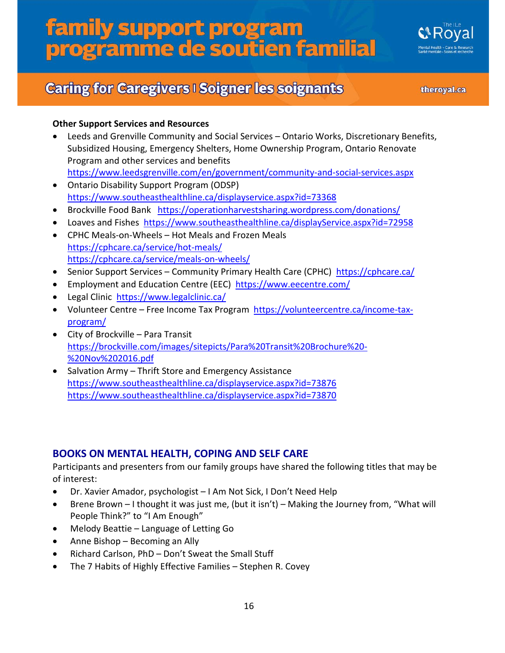

## **Caring for Caregivers I Soigner les soignants**

theroyal.ca

#### **Other Support Services and Resources**

- Leeds and Grenville Community and Social Services Ontario Works, Discretionary Benefits, Subsidized Housing, Emergency Shelters, Home Ownership Program, Ontario Renovate Program and other services and benefits <https://www.leedsgrenville.com/en/government/community-and-social-services.aspx>
- Ontario Disability Support Program (ODSP) <https://www.southeasthealthline.ca/displayservice.aspx?id=73368>
- Brockville Food Bank <https://operationharvestsharing.wordpress.com/donations/>
- Loaves and Fishes <https://www.southeasthealthline.ca/displayService.aspx?id=72958>
- CPHC Meals-on-Wheels Hot Meals and Frozen Meals <https://cphcare.ca/service/hot-meals/> <https://cphcare.ca/service/meals-on-wheels/>
- Senior Support Services Community Primary Health Care (CPHC) <https://cphcare.ca/>
- Employment and Education Centre (EEC) <https://www.eecentre.com/>
- Legal Clinic <https://www.legalclinic.ca/>
- Volunteer Centre Free Income Tax Program [https://volunteercentre.ca/income-tax](https://volunteercentre.ca/income-tax-program/)[program/](https://volunteercentre.ca/income-tax-program/)
- City of Brockville Para Transit [https://brockville.com/images/sitepicts/Para%20Transit%20Brochure%20-](https://brockville.com/images/sitepicts/Para%20Transit%20Brochure%20-%20Nov%202016.pdf) [%20Nov%202016.pdf](https://brockville.com/images/sitepicts/Para%20Transit%20Brochure%20-%20Nov%202016.pdf)
- Salvation Army Thrift Store and Emergency Assistance <https://www.southeasthealthline.ca/displayservice.aspx?id=73876> <https://www.southeasthealthline.ca/displayservice.aspx?id=73870>

#### **BOOKS ON MENTAL HEALTH, COPING AND SELF CARE**

Participants and presenters from our family groups have shared the following titles that may be of interest:

- Dr. Xavier Amador, psychologist I Am Not Sick, I Don't Need Help
- Brene Brown I thought it was just me, (but it isn't) Making the Journey from, "What will People Think?" to "I Am Enough"
- Melody Beattie Language of Letting Go
- Anne Bishop Becoming an Ally
- Richard Carlson, PhD Don't Sweat the Small Stuff
- The 7 Habits of Highly Effective Families Stephen R. Covey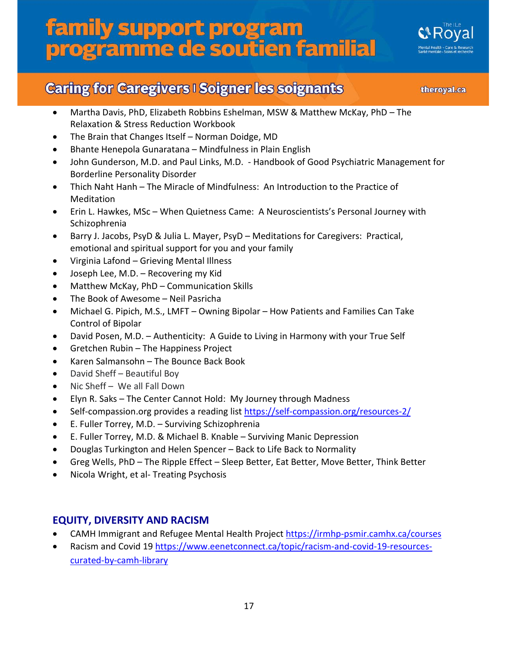

### **Caring for Caregivers I Soigner les soignants**

theroyal.ca

- Martha Davis, PhD, Elizabeth Robbins Eshelman, MSW & Matthew McKay, PhD The Relaxation & Stress Reduction Workbook
- The Brain that Changes Itself Norman Doidge, MD
- Bhante Henepola Gunaratana Mindfulness in Plain English
- John Gunderson, M.D. and Paul Links, M.D. Handbook of Good Psychiatric Management for Borderline Personality Disorder
- Thich Naht Hanh The Miracle of Mindfulness: An Introduction to the Practice of Meditation
- Erin L. Hawkes, MSc When Quietness Came: A Neuroscientists's Personal Journey with Schizophrenia
- Barry J. Jacobs, PsyD & Julia L. Mayer, PsyD Meditations for Caregivers: Practical, emotional and spiritual support for you and your family
- Virginia Lafond Grieving Mental Illness
- Joseph Lee, M.D. Recovering my Kid
- Matthew McKay, PhD Communication Skills
- The Book of Awesome Neil Pasricha
- Michael G. Pipich, M.S., LMFT Owning Bipolar How Patients and Families Can Take Control of Bipolar
- David Posen, M.D. Authenticity: A Guide to Living in Harmony with your True Self
- Gretchen Rubin The Happiness Project
- Karen Salmansohn The Bounce Back Book
- David Sheff Beautiful Boy
- Nic Sheff We all Fall Down
- Elyn R. Saks The Center Cannot Hold: My Journey through Madness
- Self-compassion.org provides a reading list<https://self-compassion.org/resources-2/>
- E. Fuller Torrey, M.D. Surviving Schizophrenia
- E. Fuller Torrey, M.D. & Michael B. Knable Surviving Manic Depression
- Douglas Turkington and Helen Spencer Back to Life Back to Normality
- Greg Wells, PhD The Ripple Effect Sleep Better, Eat Better, Move Better, Think Better
- Nicola Wright, et al- Treating Psychosis

#### **EQUITY, DIVERSITY AND RACISM**

- CAMH Immigrant and Refugee Mental Health Project<https://irmhp-psmir.camhx.ca/courses>
- Racism and Covid 19 [https://www.eenetconnect.ca/topic/racism-and-covid-19-resources](https://www.eenetconnect.ca/topic/racism-and-covid-19-resources-curated-by-camh-library)[curated-by-camh-library](https://www.eenetconnect.ca/topic/racism-and-covid-19-resources-curated-by-camh-library)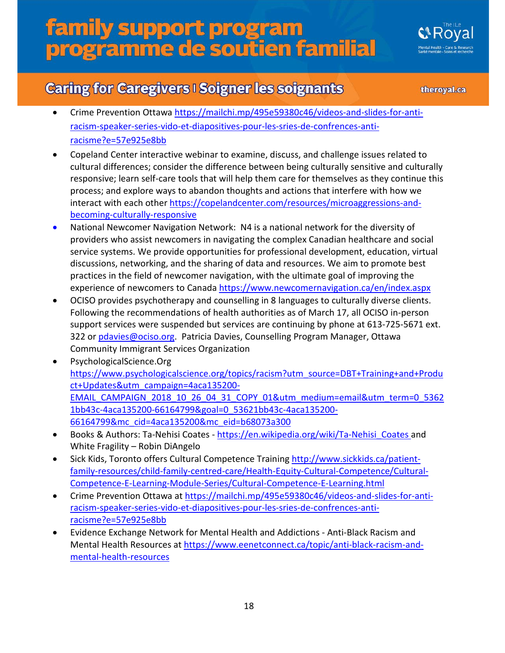## **Caring for Caregivers I Soigner les soignants**

theroyal.ca

- Crime Prevention Ottaw[a https://mailchi.mp/495e59380c46/videos-and-slides-for-anti](https://mailchi.mp/495e59380c46/videos-and-slides-for-anti-racism-speaker-series-vido-et-diapositives-pour-les-sries-de-confrences-anti-racisme?e=57e925e8bb)[racism-speaker-series-vido-et-diapositives-pour-les-sries-de-confrences-anti](https://mailchi.mp/495e59380c46/videos-and-slides-for-anti-racism-speaker-series-vido-et-diapositives-pour-les-sries-de-confrences-anti-racisme?e=57e925e8bb)[racisme?e=57e925e8bb](https://mailchi.mp/495e59380c46/videos-and-slides-for-anti-racism-speaker-series-vido-et-diapositives-pour-les-sries-de-confrences-anti-racisme?e=57e925e8bb)
- Copeland Center interactive webinar to examine, discuss, and challenge issues related to cultural differences; consider the difference between being culturally sensitive and culturally responsive; learn self-care tools that will help them care for themselves as they continue this process; and explore ways to abandon thoughts and actions that interfere with how we interact with each othe[r https://copelandcenter.com/resources/microaggressions-and](https://copelandcenter.com/resources/microaggressions-and-becoming-culturally-responsive)[becoming-culturally-responsive](https://copelandcenter.com/resources/microaggressions-and-becoming-culturally-responsive)
- National Newcomer Navigation Network: N4 is a national network for the diversity of providers who assist newcomers in navigating the complex Canadian healthcare and social service systems. We provide opportunities for professional development, education, virtual discussions, networking, and the sharing of data and resources. We aim to promote best practices in the field of newcomer navigation, with the ultimate goal of improving the experience of newcomers to Canada https://www.newcomernavigation.ca/en/index.aspx
- OCISO provides psychotherapy and counselling in 8 languages to culturally diverse clients. Following the recommendations of health authorities as of March 17, all OCISO in-person support services were suspended but services are continuing by phone at 613-725-5671 ext. 322 or [pdavies@ociso.org.](mailto:pdavies@ociso.org) Patricia Davies, Counselling Program Manager, Ottawa Community Immigrant Services Organization
- PsychologicalScience.Org [https://www.psychologicalscience.org/topics/racism?utm\\_source=DBT+Training+and+Produ](https://www.psychologicalscience.org/topics/racism?utm_source=DBT+Training+and+Product+Updates&utm_campaign=4aca135200-EMAIL_CAMPAIGN_2018_10_26_04_31_COPY_01&utm_medium=email&utm_term=0_53621bb43c-4aca135200-66164799&goal=0_53621bb43c-4aca135200-66164799&mc_cid=4aca135200&mc_eid=b68073a300) [ct+Updates&utm\\_campaign=4aca135200-](https://www.psychologicalscience.org/topics/racism?utm_source=DBT+Training+and+Product+Updates&utm_campaign=4aca135200-EMAIL_CAMPAIGN_2018_10_26_04_31_COPY_01&utm_medium=email&utm_term=0_53621bb43c-4aca135200-66164799&goal=0_53621bb43c-4aca135200-66164799&mc_cid=4aca135200&mc_eid=b68073a300) [EMAIL\\_CAMPAIGN\\_2018\\_10\\_26\\_04\\_31\\_COPY\\_01&utm\\_medium=email&utm\\_term=0\\_5362](https://www.psychologicalscience.org/topics/racism?utm_source=DBT+Training+and+Product+Updates&utm_campaign=4aca135200-EMAIL_CAMPAIGN_2018_10_26_04_31_COPY_01&utm_medium=email&utm_term=0_53621bb43c-4aca135200-66164799&goal=0_53621bb43c-4aca135200-66164799&mc_cid=4aca135200&mc_eid=b68073a300) [1bb43c-4aca135200-66164799&goal=0\\_53621bb43c-4aca135200-](https://www.psychologicalscience.org/topics/racism?utm_source=DBT+Training+and+Product+Updates&utm_campaign=4aca135200-EMAIL_CAMPAIGN_2018_10_26_04_31_COPY_01&utm_medium=email&utm_term=0_53621bb43c-4aca135200-66164799&goal=0_53621bb43c-4aca135200-66164799&mc_cid=4aca135200&mc_eid=b68073a300) [66164799&mc\\_cid=4aca135200&mc\\_eid=b68073a300](https://www.psychologicalscience.org/topics/racism?utm_source=DBT+Training+and+Product+Updates&utm_campaign=4aca135200-EMAIL_CAMPAIGN_2018_10_26_04_31_COPY_01&utm_medium=email&utm_term=0_53621bb43c-4aca135200-66164799&goal=0_53621bb43c-4aca135200-66164799&mc_cid=4aca135200&mc_eid=b68073a300)
- Books & Authors: Ta-Nehisi Coates https://en.wikipedia.org/wiki/Ta-Nehisi Coates and White Fragility – Robin DiAngelo
- Sick Kids, Toronto offers Cultural Competence Trainin[g http://www.sickkids.ca/patient](http://www.sickkids.ca/patient-family-resources/child-family-centred-care/Health-Equity-Cultural-Competence/Cultural-Competence-E-Learning-Module-Series/Cultural-Competence-E-Learning.html)[family-resources/child-family-centred-care/Health-Equity-Cultural-Competence/Cultural-](http://www.sickkids.ca/patient-family-resources/child-family-centred-care/Health-Equity-Cultural-Competence/Cultural-Competence-E-Learning-Module-Series/Cultural-Competence-E-Learning.html)[Competence-E-Learning-Module-Series/Cultural-Competence-E-Learning.html](http://www.sickkids.ca/patient-family-resources/child-family-centred-care/Health-Equity-Cultural-Competence/Cultural-Competence-E-Learning-Module-Series/Cultural-Competence-E-Learning.html)
- Crime Prevention Ottawa at [https://mailchi.mp/495e59380c46/videos-and-slides-for-anti](https://mailchi.mp/495e59380c46/videos-and-slides-for-anti-racism-speaker-series-vido-et-diapositives-pour-les-sries-de-confrences-anti-racisme?e=57e925e8bb)[racism-speaker-series-vido-et-diapositives-pour-les-sries-de-confrences-anti](https://mailchi.mp/495e59380c46/videos-and-slides-for-anti-racism-speaker-series-vido-et-diapositives-pour-les-sries-de-confrences-anti-racisme?e=57e925e8bb)[racisme?e=57e925e8bb](https://mailchi.mp/495e59380c46/videos-and-slides-for-anti-racism-speaker-series-vido-et-diapositives-pour-les-sries-de-confrences-anti-racisme?e=57e925e8bb)
- Evidence Exchange Network for Mental Health and Addictions Anti-Black Racism and Mental Health Resources at [https://www.eenetconnect.ca/topic/anti-black-racism-and](https://www.eenetconnect.ca/topic/anti-black-racism-and-mental-health-resources)[mental-health-resources](https://www.eenetconnect.ca/topic/anti-black-racism-and-mental-health-resources)